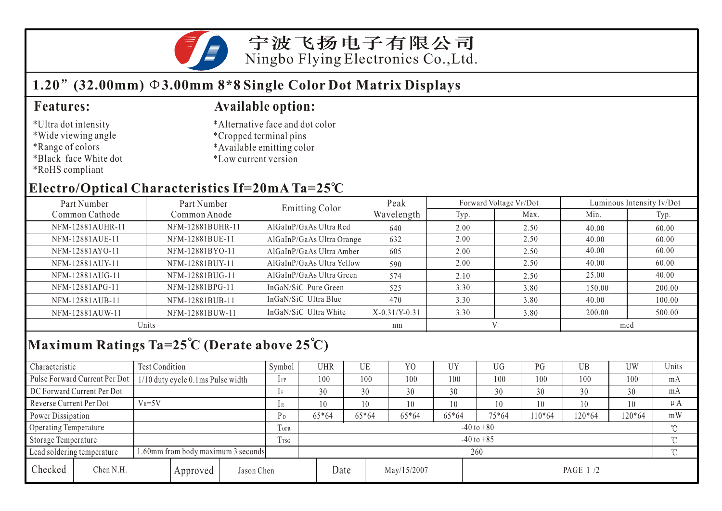

## **1.20 (32.00mm) 3.00mm 8\*8 Single Color Dot Matrix Displays**

### **Features: Available option:**

- \*Ultra dot intensity
- \*Wide viewing angle
- \*Range of colors
- \*Black face White dot
- \*RoHS compliant
- \*Cropped terminal pins
- \*Available emitting color

\*Alternative face and dot color

\*Low current version

## **Electro/Optical Characteristics If=20mA Ta=25 C**

| Part Number      | Part Number      | <b>Emitting Color</b>     | Peak            |      | Forward Voltage VF/Dot | Luminous Intensity Iv/Dot |        |  |
|------------------|------------------|---------------------------|-----------------|------|------------------------|---------------------------|--------|--|
| Common Cathode   | Common Anode     |                           | Wavelength      | Typ. | Max.                   | Min.                      | Typ.   |  |
| NFM-12881AUHR-11 | NFM-12881BUHR-11 | AlGaInP/GaAs Ultra Red    | 640             | 2.00 | 2.50                   | 40.00                     | 60.00  |  |
| NFM-12881AUE-11  | NFM-12881BUE-11  | AlGaInP/GaAs Ultra Orange | 632             | 2.00 | 2.50                   | 40.00                     | 60.00  |  |
| NFM-12881AYO-11  | NFM-12881BYO-11  | AlGaInP/GaAs Ultra Amber  | 605             | 2.00 | 2.50                   | 40.00                     | 60.00  |  |
| NFM-12881AUY-11  | NFM-12881BUY-11  | AlGaInP/GaAs Ultra Yellow | 590             | 2.00 | 2.50                   | 40.00                     | 60.00  |  |
| NFM-12881AUG-11  | NFM-12881BUG-11  | AlGaInP/GaAs Ultra Green  | 574             | 2.10 | 2.50                   | 25.00                     | 40.00  |  |
| NFM-12881APG-11  | NFM-12881BPG-11  | InGaN/SiC Pure Green      | 525             | 3.30 | 3.80                   | 150.00                    | 200.00 |  |
| NFM-12881AUB-11  | NFM-12881BUB-11  | InGaN/SiC Ultra Blue      | 470             | 3.30 | 3.80                   | 40.00                     | 100.00 |  |
| NFM-12881AUW-11  | NFM-12881BUW-11  | InGaN/SiC Ultra White     | $X-0.31/Y-0.31$ | 3.30 | 3.80                   | 200.00                    | 500.00 |  |
| Units            |                  |                           | nm              |      |                        | mcd                       |        |  |
|                  |                  |                           |                 |      |                        |                           |        |  |

# **Maximum Ratings Ta=25 C (Derate above 25 C)**

| Characteristic                                                  |                               | Test Condition                    |                |                | Symbol | UHR   |       | UE      | Y <sub>O</sub> | UY      | UG     | PG       | UB       | UW  | Units |
|-----------------------------------------------------------------|-------------------------------|-----------------------------------|----------------|----------------|--------|-------|-------|---------|----------------|---------|--------|----------|----------|-----|-------|
|                                                                 | Pulse Forward Current Per Dot | 1/10 duty cycle 0.1ms Pulse width |                |                | $1$ FP | 100   |       | 100     | 100            | 100     | 100    | 100      | 100      | 100 | mA    |
| DC Forward Current Per Dot                                      |                               |                                   |                | 1F             | 30     |       | 30    | 30      | 30             | 30      | 30     | 30       | 30       | mA  |       |
| Reverse Current Per Dot                                         |                               | $V_R = 5V$                        |                |                | 1 R    | 10    |       | 10      | 10             | 10      | 10     | 10       | 10       | 10  | μA    |
| Power Dissipation                                               |                               |                                   | P <sub>D</sub> | $65*64$        |        | 65*64 | 65*64 | $65*64$ | 75*64          | $10*64$ | 120*64 | 120*64   | mW       |     |       |
| Operating Temperature                                           |                               |                                   | TOPR           | $-40$ to $+80$ |        |       |       |         |                |         |        |          |          |     |       |
| Storage Temperature                                             |                               |                                   | Trsg           | $-40$ to $+85$ |        |       |       |         |                |         |        |          | $\gamma$ |     |       |
| .60mm from body maximum 3 seconds<br>Lead soldering temperature |                               |                                   |                | 260            |        |       |       |         |                |         |        |          |          |     |       |
| Checked                                                         | Chen N.H.                     | Approved                          |                | Jason Chen     |        |       | Date  |         | May/15/2007    |         |        | PAGE 1/2 |          |     |       |